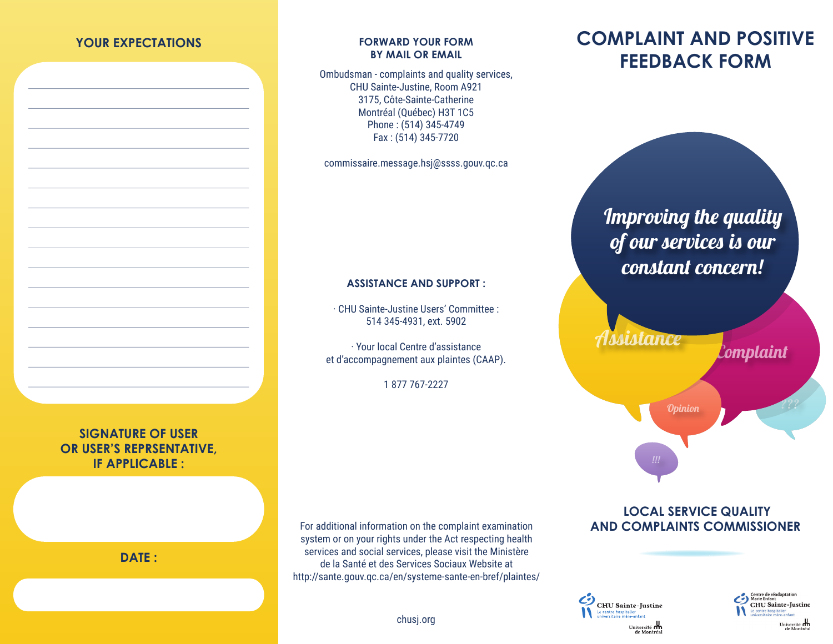#### **YOUR EXPECTATIONS**

#### **FORWARD YOUR FORM BY MAIL OR EMAIL**

Ombudsman - complaints and quality services, CHU Sainte-Justine, Room A921 3175, Côte-Sainte-Catherine Montréal (Québec) H3T 1C5 Phone : (514) 345-4749 Fax : (514) 345-7720

commissaire.message.hsj@ssss.gouv.qc.ca

#### **ASSISTANCE AND SUPPORT :**

· CHU Sainte-Justine Users' Committee : 514 345-4931, ext. 5902

· Your local Centre d'assistance et d'accompagnement aux plaintes (CAAP).

1 877 767-2227

**COMPLAINT AND POSITIVE FEEDBACK FORM**

# *Improving the quality of our services is our constant concern!*

Assistance

Complaint

???

**SIGNATURE OF USER OR USER'S REPRSENTATIVE, IF APPLICABLE :** 

**DATE :** 

For additional information on the complaint examination system or on your rights under the Act respecting health services and social services, please visit the Ministère de la Santé et des Services Sociaux Website at http://sante.gouv.qc.ca/en/systeme-sante-en-bref/plaintes/

#### **LOCAL SERVICE QUALITY AND COMPLAINTS COMMISSIONER**

Opinion





chusj.org